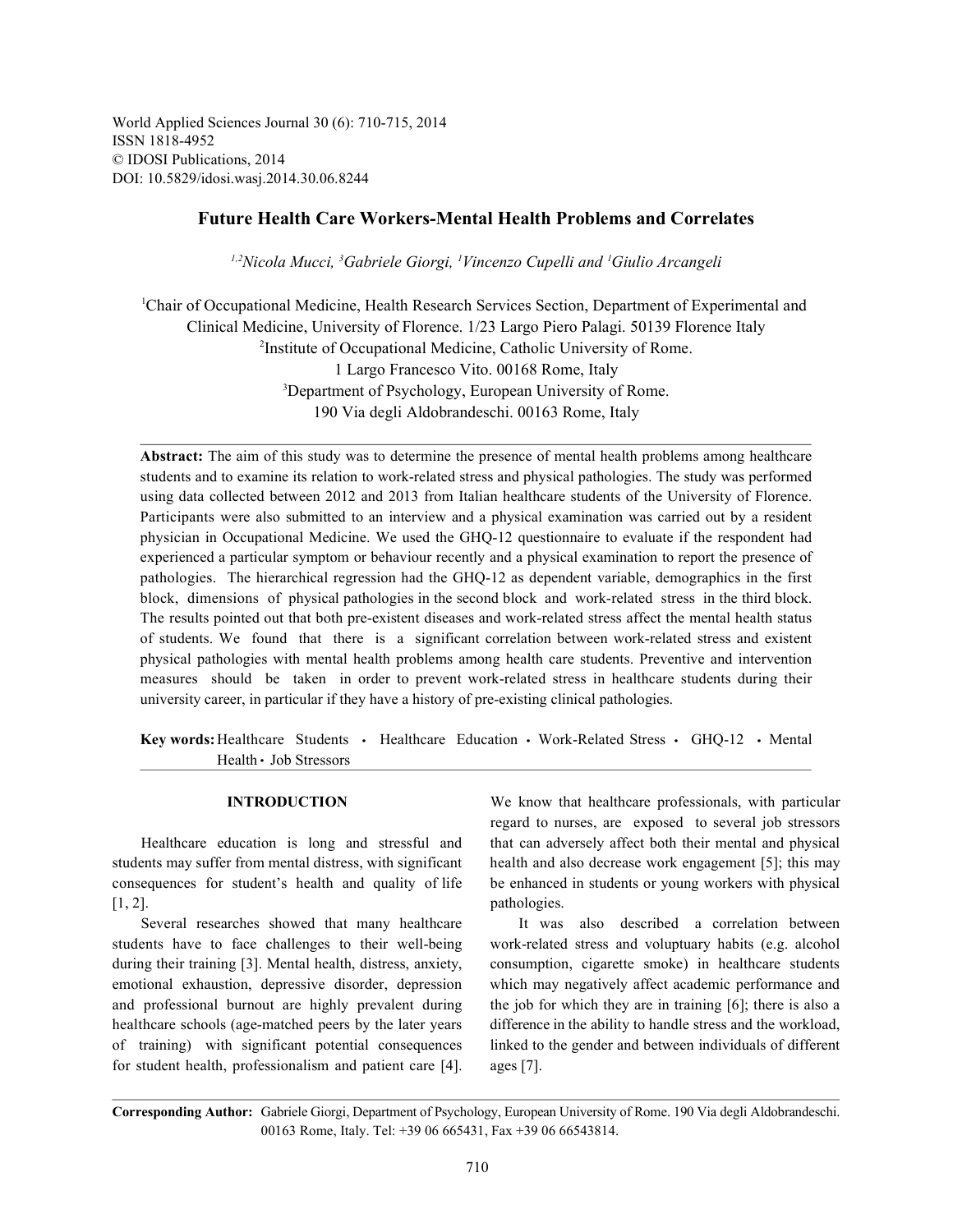World Applied Sciences Journal 30 (6): 710-715, 2014 ISSN 1818-4952 © IDOSI Publications, 2014 DOI: 10.5829/idosi.wasj.2014.30.06.8244

# **Future Health Care Workers-Mental Health Problems and Correlates**

*Nicola Mucci, Gabriele Giorgi, Vincenzo Cupelli and Giulio Arcangeli 1,2 <sup>3</sup> <sup>1</sup> <sup>1</sup>*

<sup>1</sup>Chair of Occupational Medicine, Health Research Services Section, Department of Experimental and Clinical Medicine, University of Florence. 1/23 Largo Piero Palagi. 50139 Florence Italy <sup>2</sup>Institute of Occupational Medicine, Catholic University of Rome. 1 Largo Francesco Vito. 00168 Rome, Italy <sup>3</sup>Department of Psychology, European University of Rome. 190 Via degli Aldobrandeschi. 00163 Rome, Italy

Abstract: The aim of this study was to determine the presence of mental health problems among healthcare students and to examine its relation to work-related stress and physical pathologies. The study was performed using data collected between 2012 and 2013 from Italian healthcare students of the University of Florence. Participants were also submitted to an interview and a physical examination was carried out by a resident physician in Occupational Medicine. We used the GHQ-12 questionnaire to evaluate if the respondent had experienced a particular symptom or behaviour recently and a physical examination to report the presence of pathologies. The hierarchical regression had the GHQ-12 as dependent variable, demographics in the first block, dimensions of physical pathologies in the second block and work-related stress in the third block. The results pointed out that both pre-existent diseases and work-related stress affect the mental health status of students. We found that there is a significant correlation between work-related stress and existent physical pathologies with mental health problems among health care students. Preventive and intervention measures should be taken in order to prevent work-related stress in healthcare students during their university career, in particular if they have a history of pre-existing clinical pathologies.

Key words: Healthcare Students · Healthcare Education · Work-Related Stress · GHO-12 · Mental Health · Job Stressors

[1, 2]. pathologies.

students have to face challenges to their well-being work-related stress and voluptuary habits (e.g. alcohol during their training [3]. Mental health, distress, anxiety, consumption, cigarette smoke) in healthcare students emotional exhaustion, depressive disorder, depression which may negatively affect academic performance and and professional burnout are highly prevalent during the job for which they are in training [6]; there is also a healthcare schools (age-matched peers by the later years difference in the ability to handle stress and the workload, of training) with significant potential consequences linked to the gender and between individuals of different for student health, professionalism and patient care [4]. ages [7].

**INTRODUCTION** We know that healthcare professionals, with particular Healthcare education is long and stressful and that can adversely affect both their mental and physical students may suffer from mental distress, with significant health and also decrease work engagement [5]; this may consequences for student's health and quality of life be enhanced in students or young workers with physical regard to nurses, are exposed to several job stressors

Several researches showed that many healthcare It was also described a correlation between

**Corresponding Author:** Gabriele Giorgi, Department of Psychology, European University of Rome. 190 Via degli Aldobrandeschi. 00163 Rome, Italy. Tel: +39 06 665431, Fax +39 06 66543814.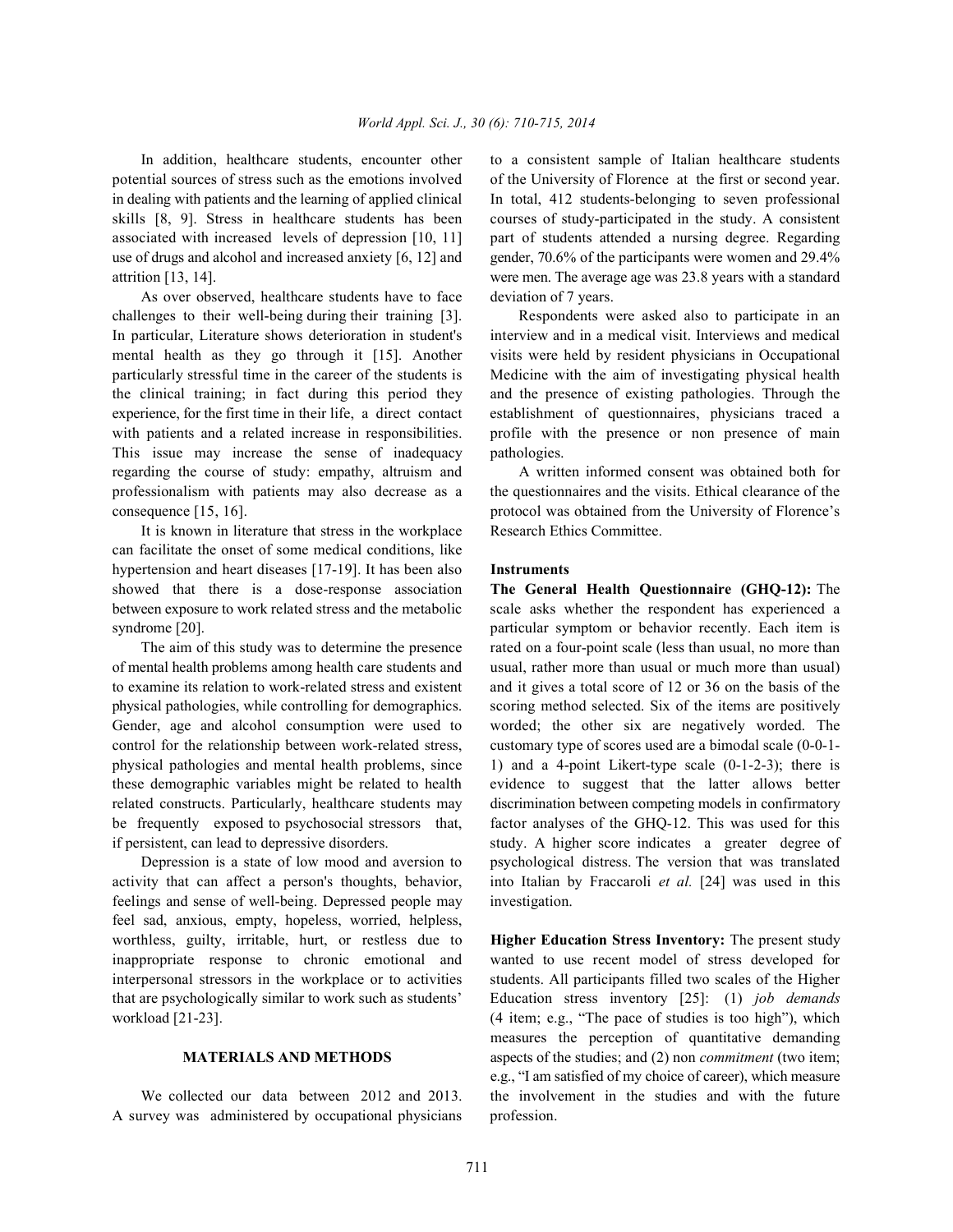potential sources of stress such as the emotions involved of the University of Florence at the first or second year. in dealing with patients and the learning of applied clinical In total, 412 students-belonging to seven professional skills [8, 9]. Stress in healthcare students has been courses of study-participated in the study. A consistent associated with increased levels of depression [10, 11] part of students attended a nursing degree. Regarding use of drugs and alcohol and increased anxiety [6, 12] and gender, 70.6% of the participants were women and 29.4% attrition [13, 14]. were men. The average age was 23.8 years with a standard

As over observed, healthcare students have to face deviation of 7 years. challenges to their well-being during their training [3]. Respondents were asked also to participate in an In particular, Literature shows deterioration in student's interview and in a medical visit. Interviews and medical mental health as they go through it [15]. Another visits were held by resident physicians in Occupational particularly stressful time in the career of the students is Medicine with the aim of investigating physical health the clinical training; in fact during this period they and the presence of existing pathologies. Through the experience, for the first time in their life, a direct contact establishment of questionnaires, physicians traced a with patients and a related increase in responsibilities. profile with the presence or non presence of main This issue may increase the sense of inadequacy pathologies. regarding the course of study: empathy, altruism and A written informed consent was obtained both for professionalism with patients may also decrease as a the questionnaires and the visits. Ethical clearance of the consequence [15, 16]. protocol was obtained from the University of Florence's

It is known in literature that stress in the workplace Research Ethics Committee. can facilitate the onset of some medical conditions, like hypertension and heart diseases [17-19]. It has been also **Instruments** showed that there is a dose-response association **The General Health Questionnaire (GHQ-12):** The between exposure to work related stress and the metabolic scale asks whether the respondent has experienced a syndrome [20]. **particular symptom or behavior recently.** Each item is

of mental health problems among health care students and usual, rather more than usual or much more than usual) to examine its relation to work-related stress and existent and it gives a total score of 12 or 36 on the basis of the physical pathologies, while controlling for demographics. scoring method selected. Six of the items are positively Gender, age and alcohol consumption were used to worded; the other six are negatively worded. The control for the relationship between work-related stress, customary type of scores used are a bimodal scale (0-0-1 physical pathologies and mental health problems, since 1) and a 4-point Likert-type scale (0-1-2-3); there is these demographic variables might be related to health evidence to suggest that the latter allows better related constructs. Particularly, healthcare students may discrimination between competing models in confirmatory be frequently exposed to psychosocial stressors that, factor analyses of the GHQ-12. This was used for this if persistent, can lead to depressive disorders. study. A higher score indicates a greater degree of

activity that can affect a person's thoughts, behavior, into Italian by Fraccaroli *et al.* [24] was used in this feelings and sense of well-being. Depressed people may investigation. feel sad, anxious, empty, hopeless, worried, helpless, worthless, guilty, irritable, hurt, or restless due to **Higher Education Stress Inventory:** The present study inappropriate response to chronic emotional and wanted to use recent model of stress developed for interpersonal stressors in the workplace or to activities students. All participants filled two scales of the Higher that are psychologically similar to work such as students' Education stress inventory [25]: (1) *job demands*

A survey was administered by occupational physicians profession.

In addition, healthcare students, encounter other to a consistent sample of Italian healthcare students

The aim of this study was to determine the presence rated on a four-point scale (less than usual, no more than Depression is a state of low mood and aversion to psychological distress. The version that was translated

workload [21-23]. (4 item; e.g., "The pace of studies is too high"), which **MATERIALS AND METHODS** aspects of the studies; and (2) non *commitment* (two item; We collected our data between 2012 and 2013. the involvement in the studies and with the future measures the perception of quantitative demanding e.g., "I am satisfied of my choice of career), which measure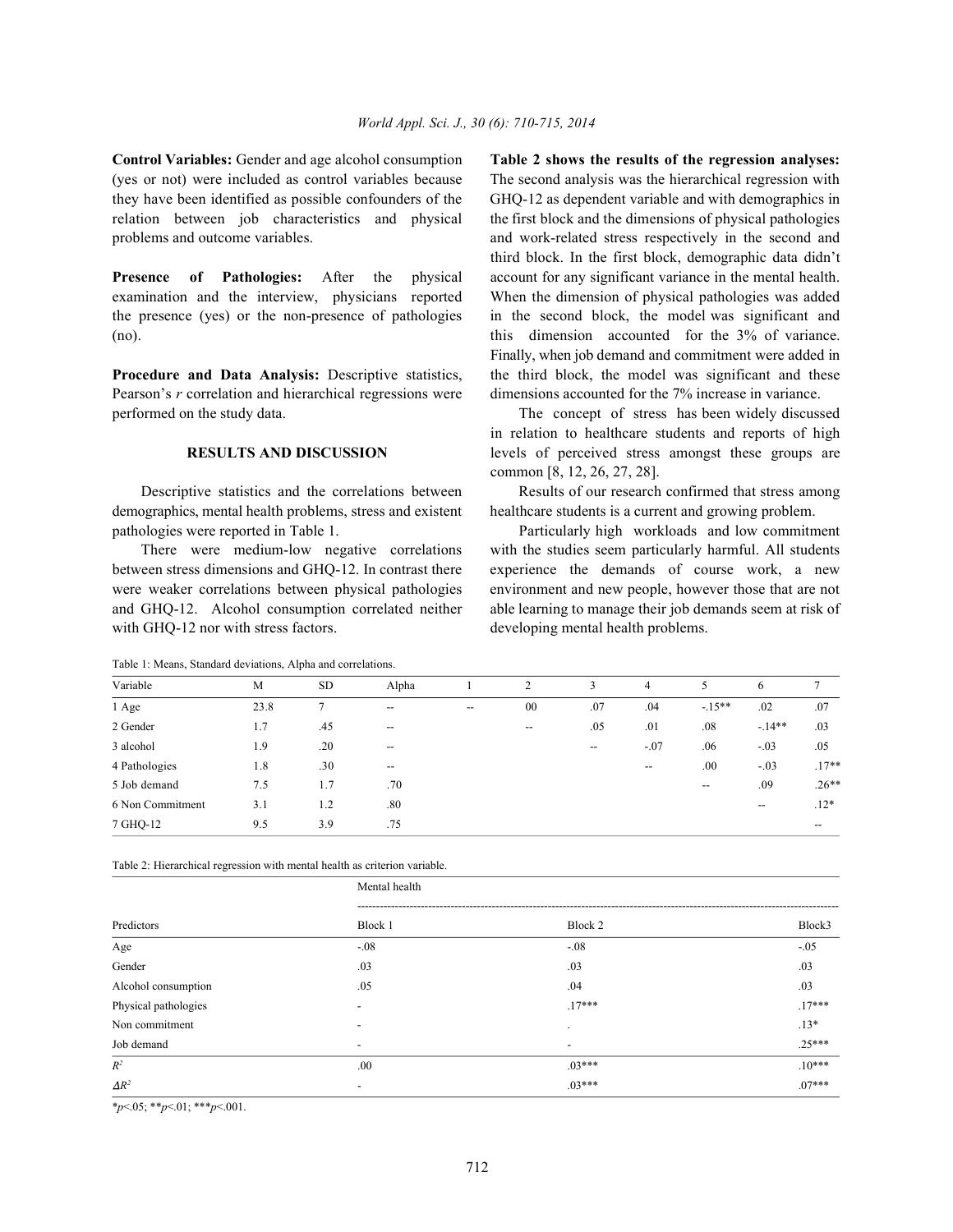(yes or not) were included as control variables because The second analysis was the hierarchical regression with they have been identified as possible confounders of the GHQ-12 as dependent variable and with demographics in relation between job characteristics and physical the first block and the dimensions of physical pathologies problems and outcome variables. and work-related stress respectively in the second and

examination and the interview, physicians reported When the dimension of physical pathologies was added the presence (yes) or the non-presence of pathologies in the second block, the model was significant and (no). this dimension accounted for the 3% of variance.

Pearson's *r* correlation and hierarchical regressions were dimensions accounted for the 7% increase in variance. performed on the study data. The concept of stress has been widely discussed

demographics, mental health problems, stress and existent healthcare students is a current and growing problem. pathologies were reported in Table 1. Particularly high workloads and low commitment

between stress dimensions and GHQ-12. In contrast there experience the demands of course work, a new were weaker correlations between physical pathologies environment and new people, however those that are not and GHQ-12. Alcohol consumption correlated neither able learning to manage their job demands seem at risk of with GHQ-12 nor with stress factors.  $\qquad \qquad$  developing mental health problems.

**Control Variables:** Gender and age alcohol consumption **Table 2 shows the results of the regression analyses: Presence** of Pathologies: After the physical account for any significant variance in the mental health. **Procedure and Data Analysis:** Descriptive statistics, the third block, the model was significant and these third block. In the first block, demographic data didn't Finally, when job demand and commitment were added in

> **RESULTS AND DISCUSSION** levels of perceived stress amongst these groups are in relation to healthcare students and reports of high common [8, 12, 26, 27, 28].

Descriptive statistics and the correlations between Results of our research confirmed that stress among

There were medium-low negative correlations with the studies seem particularly harmful. All students

| Table 1: Means, Standard deviations, Alpha and correlations. |  |  |
|--------------------------------------------------------------|--|--|
|--------------------------------------------------------------|--|--|

| Variable         | M    | <b>SD</b> | Alpha                                 |       | 2                        | 3                        | 4      | 5       | 6                        |         |
|------------------|------|-----------|---------------------------------------|-------|--------------------------|--------------------------|--------|---------|--------------------------|---------|
| 1 Age            | 23.8 | Ξ         | $\hspace{0.05cm}$ – $\hspace{0.05cm}$ | $- -$ | 00                       | .07                      | .04    | $-15**$ | .02                      | .07     |
| 2 Gender         | 1.7  | .45       | $\overline{\phantom{a}}$              |       | $\hspace{0.05cm} \ldots$ | .05                      | .01    | .08     | $-14**$                  | .03     |
| 3 alcohol        | 1.9  | .20       | $\hspace{0.05cm}$ – $\hspace{0.05cm}$ |       |                          | $\overline{\phantom{a}}$ | $-.07$ | .06     | $-.03$                   | .05     |
| 4 Pathologies    | 1.8  | .30       | $\overline{\phantom{m}}$              |       |                          |                          | $- -$  | .00.    | $-.03$                   | $.17**$ |
| 5 Job demand     | 7.5  | 1.7       | .70                                   |       |                          |                          |        | $- -$   | .09                      | $.26**$ |
| 6 Non Commitment | 3.1  | 1.2       | .80                                   |       |                          |                          |        |         | $\overline{\phantom{m}}$ | $.12*$  |
| 7 GHQ-12         | 9.5  | 3.9       | .75                                   |       |                          |                          |        |         |                          | $- -$   |
|                  |      |           |                                       |       |                          |                          |        |         |                          |         |

Table 2: Hierarchical regression with mental health as criterion variable.

| Predictors           | Mental health            |          |          |  |  |  |  |
|----------------------|--------------------------|----------|----------|--|--|--|--|
|                      | Block 1                  | Block 2  | Block3   |  |  |  |  |
| Age                  | $-.08$                   | $-.08$   | $-.05$   |  |  |  |  |
| Gender               | .03                      | .03      | .03      |  |  |  |  |
| Alcohol consumption  | .05                      | .04      | .03      |  |  |  |  |
| Physical pathologies | $\overline{\phantom{a}}$ | $.17***$ | $.17***$ |  |  |  |  |
| Non commitment       | $\overline{\phantom{a}}$ |          | $.13*$   |  |  |  |  |
| Job demand           | $\overline{\phantom{0}}$ |          | $.25***$ |  |  |  |  |
| $R^2$                | .00                      | $.03***$ | $.10***$ |  |  |  |  |
| $\Delta R^2$         | $\overline{\phantom{a}}$ | $03***$  | $.07***$ |  |  |  |  |

\**p*<.05; \*\**p*<.01; \*\*\**p*<.001.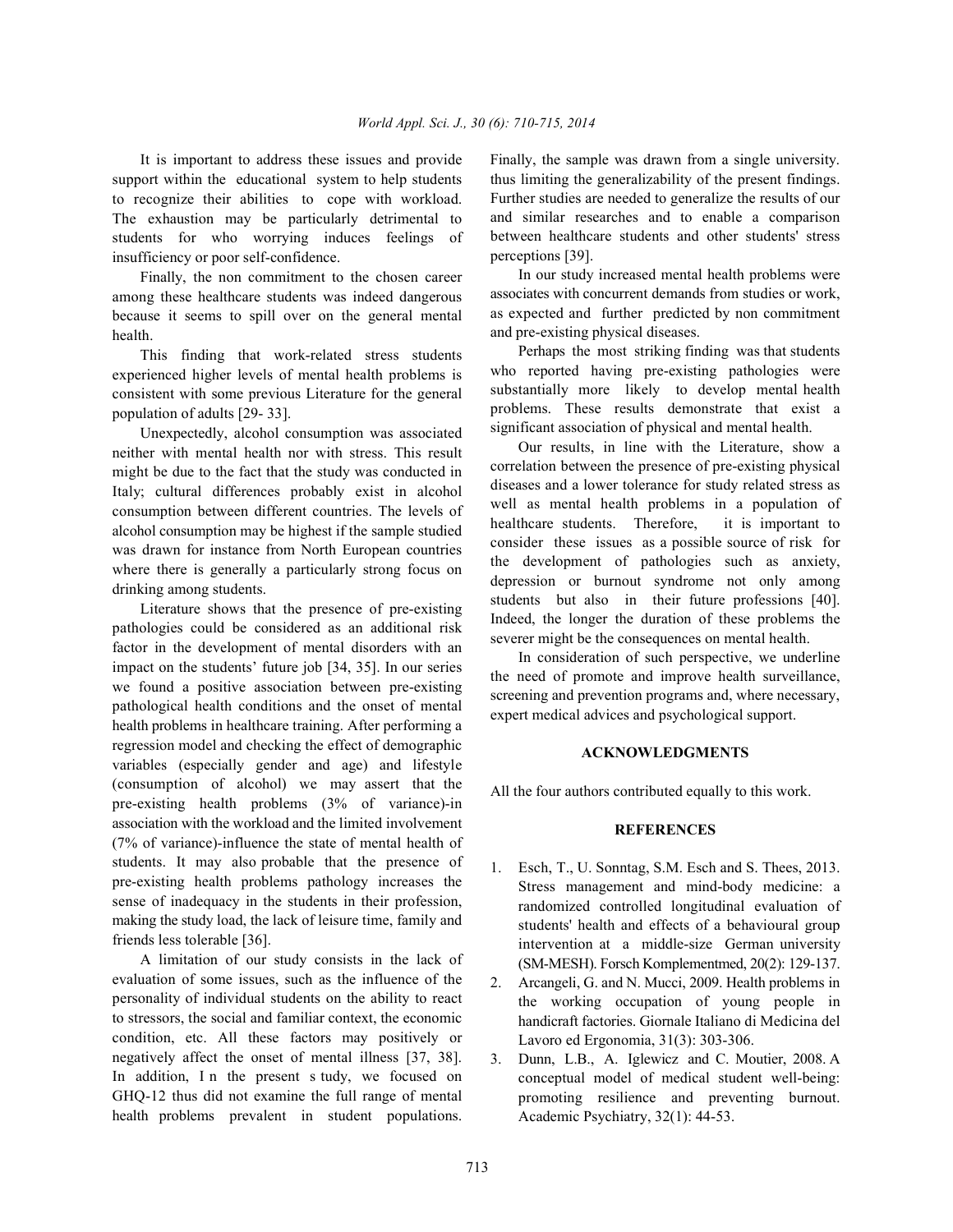support within the educational system to help students to recognize their abilities to cope with workload. The exhaustion may be particularly detrimental to students for who worrying induces feelings of insufficiency or poor self-confidence.

Finally, the non commitment to the chosen career among these healthcare students was indeed dangerous because it seems to spill over on the general mental health.

This finding that work-related stress students experienced higher levels of mental health problems is consistent with some previous Literature for the general population of adults [29- 33].

Unexpectedly, alcohol consumption was associated neither with mental health nor with stress. This result might be due to the fact that the study was conducted in Italy; cultural differences probably exist in alcohol consumption between different countries. The levels of alcohol consumption may be highest if the sample studied was drawn for instance from North European countries where there is generally a particularly strong focus on drinking among students.

Literature shows that the presence of pre-existing pathologies could be considered as an additional risk factor in the development of mental disorders with an impact on the students' future job [34, 35]. In our series we found a positive association between pre-existing pathological health conditions and the onset of mental health problems in healthcare training. After performing a regression model and checking the effect of demographic variables (especially gender and age) and lifestyle (consumption of alcohol) we may assert that the pre-existing health problems (3% of variance)-in association with the workload and the limited involvement (7% of variance)-influence the state of mental health of students. It may also probable that the presence of pre-existing health problems pathology increases the sense of inadequacy in the students in their profession, making the study load, the lack of leisure time, family and friends less tolerable [36].

A limitation of our study consists in the lack of evaluation of some issues, such as the influence of the personality of individual students on the ability to react to stressors, the social and familiar context, the economic condition, etc. All these factors may positively or negatively affect the onset of mental illness [37, 38]. In addition, In the present s tudy, we focused on GHQ-12 thus did not examine the full range of mental health problems prevalent in student populations.

It is important to address these issues and provide Finally, the sample was drawn from a single university. thus limiting the generalizability of the present findings. Further studies are needed to generalize the results of our and similar researches and to enable a comparison between healthcare students and other students' stress perceptions [39].

> In our study increased mental health problems were associates with concurrent demands from studies or work, as expected and further predicted by non commitment and pre-existing physical diseases.

> Perhaps the most striking finding was that students who reported having pre-existing pathologies were substantially more likely to develop mental health problems. These results demonstrate that exist a significant association of physical and mental health.

> Our results, in line with the Literature, show a correlation between the presence of pre-existing physical diseases and a lower tolerance for study related stress as well as mental health problems in a population of healthcare students. Therefore, it is important to consider these issues as a possible source of risk for the development of pathologies such as anxiety, depression or burnout syndrome not only among students but also in their future professions [40]. Indeed, the longer the duration of these problems the severer might be the consequences on mental health.

> In consideration of such perspective, we underline the need of promote and improve health surveillance, screening and prevention programs and, where necessary, expert medical advices and psychological support.

## **ACKNOWLEDGMENTS**

All the four authors contributed equally to this work.

### **REFERENCES**

- 1. Esch, T., U. Sonntag, S.M. Esch and S. Thees, 2013. Stress management and mind-body medicine: a randomized controlled longitudinal evaluation of students' health and effects of a behavioural group intervention at a middle-size German university (SM-MESH). Forsch Komplementmed, 20(2): 129-137.
- 2. Arcangeli, G. and N. Mucci, 2009. Health problems in the working occupation of young people in handicraft factories. Giornale Italiano di Medicina del Lavoro ed Ergonomia, 31(3): 303-306.
- 3. Dunn, L.B., A. Iglewicz and C. Moutier, 2008. A conceptual model of medical student well-being: promoting resilience and preventing burnout. Academic Psychiatry, 32(1): 44-53.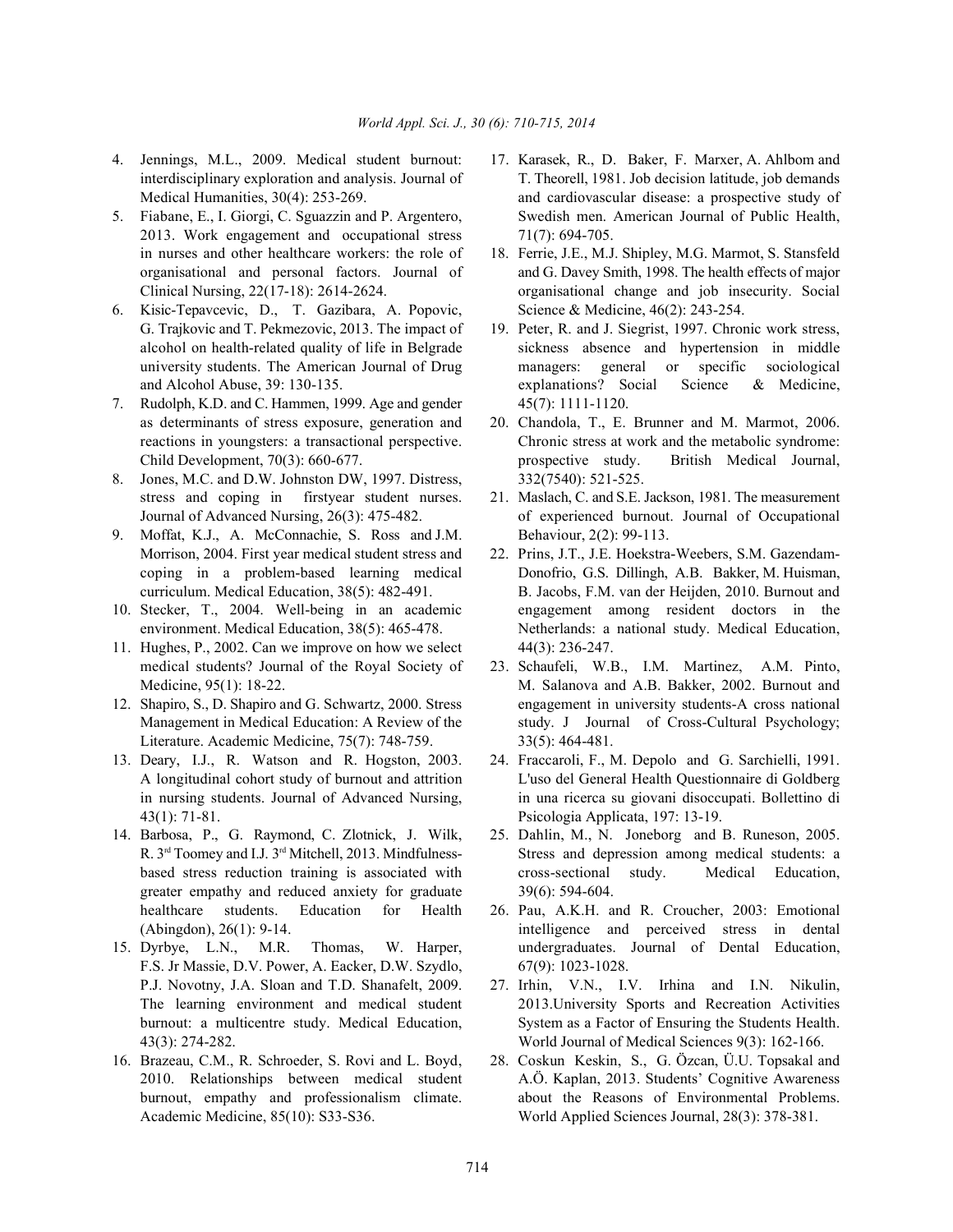- 
- 2013. Work engagement and occupational stress  $71(7)$ : 694-705. in nurses and other healthcare workers: the role of 18. Ferrie, J.E., M.J. Shipley, M.G. Marmot, S. Stansfeld
- 6. Kisic-Tepavcevic, D., T. Gazibara, A. Popovic, Science & Medicine, 46(2): 243-254. G. Trajkovic and T. Pekmezovic, 2013. The impact of 19. Peter, R. and J. Siegrist, 1997. Chronic work stress,
- 7. Rudolph, K.D. and C. Hammen, 1999. Age and gender 45(7): 1111-1120. as determinants of stress exposure, generation and 20. Chandola, T., E. Brunner and M. Marmot, 2006.
- 8. Jones, M.C. and D.W. Johnston DW, 1997. Distress, 332(7540): 521-525. stress and coping in firstyear student nurses. 21. Maslach, C. and S.E. Jackson, 1981. The measurement
- 9. Moffat, K.J., A. McConnachie, S. Ross and J.M. Behaviour, 2(2): 99-113. Morrison, 2004. First year medical student stress and 22. Prins, J.T., J.E. Hoekstra-Weebers, S.M. Gazendam-
- 
- 11. Hughes, P., 2002. Can we improve on how we select 44(3): 236-247. medical students? Journal of the Royal Society of 23. Schaufeli, W.B., I.M. Martinez, A.M. Pinto,
- Literature. Academic Medicine, 75(7): 748-759. 33(5): 464-481.
- 43(1): 71-81. Psicologia Applicata, 197: 13-19.
- 14. Barbosa, P., G. Raymond, C. Zlotnick, J. Wilk, 25. Dahlin, M., N. Joneborg and B. Runeson, 2005. greater empathy and reduced anxiety for graduate 39(6): 594-604. healthcare students. Education for Health 26. Pau, A.K.H. and R. Croucher, 2003: Emotional
- F.S. Jr Massie, D.V. Power, A. Eacker, D.W. Szydlo, 67(9): 1023-1028. P.J. Novotny, J.A. Sloan and T.D. Shanafelt, 2009. 27. Irhin, V.N., I.V. Irhina and I.N. Nikulin,
- 
- 4. Jennings, M.L., 2009. Medical student burnout: 17. Karasek, R., D. Baker, F. Marxer, A. Ahlbom and interdisciplinary exploration and analysis. Journal of T. Theorell, 1981. Job decision latitude, job demands Medical Humanities, 30(4): 253-269. And cardiovascular disease: a prospective study of 5. Fiabane, E., I. Giorgi, C. Sguazzin and P. Argentero, Swedish men. American Journal of Public Health,
	- organisational and personal factors. Journal of and G. Davey Smith, 1998. The health effects of major Clinical Nursing, 22(17-18): 2614-2624. organisational change and job insecurity. Social
	- alcohol on health-related quality of life in Belgrade sickness absence and hypertension in middle university students. The American Journal of Drug managers: general or specific sociological and Alcohol Abuse, 39: 130-135. explanations? Social Science & Medicine,
	- reactions in youngsters: a transactional perspective. Chronic stress at work and the metabolic syndrome: Child Development, 70(3): 660-677. prospective study. British Medical Journal,
	- Journal of Advanced Nursing, 26(3): 475-482. of experienced burnout. Journal of Occupational
- coping in a problem-based learning medical Donofrio, G.S. Dillingh, A.B. Bakker, M. Huisman, curriculum. Medical Education, 38(5): 482-491. B. Jacobs, F.M. van der Heijden, 2010. Burnout and 10. Stecker, T., 2004. Well-being in an academic engagement among resident doctors in the environment. Medical Education, 38(5): 465-478. Netherlands: a national study. Medical Education,
- Medicine, 95(1): 18-22. M. Salanova and A.B. Bakker, 2002. Burnout and 12. Shapiro, S., D. Shapiro and G. Schwartz, 2000. Stress engagement in university students-A cross national Management in Medical Education: A Review of the study. J Journal of Cross-Cultural Psychology;
- 13. Deary, I.J., R. Watson and R. Hogston, 2003. 24. Fraccaroli, F., M. Depolo and G. Sarchielli, 1991. A longitudinal cohort study of burnout and attrition L'uso del General Health Questionnaire di Goldberg in nursing students. Journal of Advanced Nursing, in una ricerca su giovani disoccupati. Bollettino di
	- R.  $3<sup>rd</sup>$  Toomey and I.J.  $3<sup>rd</sup>$  Mitchell, 2013. Mindfulness-Stress and depression among medical students: a based stress reduction training is associated with cross-sectional study. Medical Education,
- (Abingdon), 26(1): 9-14. intelligence and perceived stress in dental 15. Dyrbye, L.N., M.R. Thomas, W. Harper, undergraduates. Journal of Dental Education,
	- The learning environment and medical student 2013.University Sports and Recreation Activities burnout: a multicentre study. Medical Education, System as a Factor of Ensuring the Students Health. 43(3): 274-282. World Journal of Medical Sciences 9(3): 162-166.
- 16. Brazeau, C.M., R. Schroeder, S. Rovi and L. Boyd, 28. Coskun Keskin, S., G. Özcan, Ü.U. Topsakal and 2010. Relationships between medical student A.Ö. Kaplan, 2013. Students' Cognitive Awareness burnout, empathy and professionalism climate. about the Reasons of Environmental Problems. Academic Medicine, 85(10): S33-S36. World Applied Sciences Journal, 28(3): 378-381.